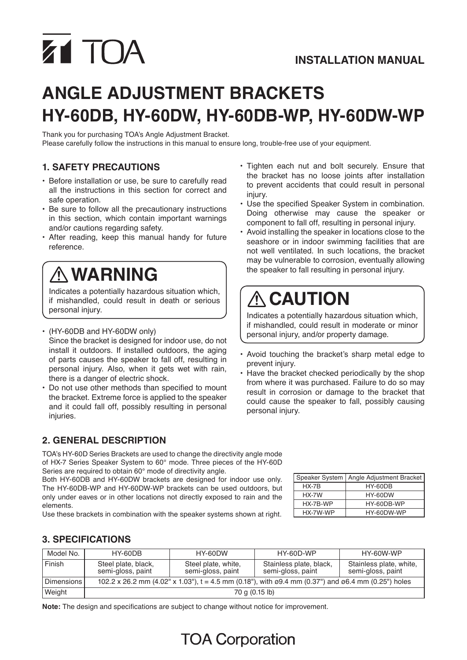# Z1 TOA

## **Angle adjustment bracketS HY-60DB, HY-60DW, HY-60DB-WP, HY-60DW-WP**

Thank you for purchasing TOA's Angle Adjustment Bracket. Please carefully follow the instructions in this manual to ensure long, trouble-free use of your equipment.

#### **1. SAFETY PRECAUTIONS**

- Before installation or use, be sure to carefully read all the instructions in this section for correct and safe operation.
- Be sure to follow all the precautionary instructions in this section, which contain important warnings and/or cautions regarding safety.
- After reading, keep this manual handy for future reference.

### **WARNING**

Indicates a potentially hazardous situation which, if mishandled, could result in death or serious personal injury.

• (HY-60DB and HY-60DW only) Since the bracket is designed for indoor use, do not install it outdoors. If installed outdoors, the aging of parts causes the speaker to fall off, resulting in personal injury. Also, when it gets wet with rain, there is a danger of electric shock.

• Do not use other methods than specified to mount the bracket. Extreme force is applied to the speaker and it could fall off, possibly resulting in personal injuries.

#### **2. GENERAL DESCRIPTION**

TOA's HY-60D Series Brackets are used to change the directivity angle mode of HX-7 Series Speaker System to 60° mode. Three pieces of the HY-60D Series are required to obtain 60° mode of directivity angle.

Both HY-60DB and HY-60DW brackets are designed for indoor use only. The HY-60DB-WP and HY-60DW-WP brackets can be used outdoors, but only under eaves or in other locations not directly exposed to rain and the elements.

Use these brackets in combination with the speaker systems shown at right.

- Tighten each nut and bolt securely. Ensure that the bracket has no loose joints after installation to prevent accidents that could result in personal injury.
- Use the specified Speaker System in combination. Doing otherwise may cause the speaker or component to fall off, resulting in personal injury.
- Avoid installing the speaker in locations close to the seashore or in indoor swimming facilities that are not well ventilated. In such locations, the bracket may be vulnerable to corrosion, eventually allowing the speaker to fall resulting in personal injury.

## **CAUTION**

Indicates a potentially hazardous situation which, if mishandled, could result in moderate or minor personal injury, and/or property damage.

- • Avoid touching the bracket's sharp metal edge to prevent injury.
- Have the bracket checked periodically by the shop from where it was purchased. Failure to do so may result in corrosion or damage to the bracket that could cause the speaker to fall, possibly causing personal injury.

|          | Speaker System   Angle Adjustment Bracket |  |  |  |  |  |
|----------|-------------------------------------------|--|--|--|--|--|
| $HX-7B$  | HY-60DB                                   |  |  |  |  |  |
| $HX-7W$  | HY-60DW                                   |  |  |  |  |  |
| HX-7B-WP | HY-60DB-WP                                |  |  |  |  |  |
| HX-7W-WP | HY-60DW-WP                                |  |  |  |  |  |

#### **3. SPECIFICATIONS**

| Model No.    | HY-60DB                                                                                                               | HY-60DW                                  | HY-60D-WP                                    | HY-60W-WP                                    |
|--------------|-----------------------------------------------------------------------------------------------------------------------|------------------------------------------|----------------------------------------------|----------------------------------------------|
| Finish       | Steel plate, black,<br>semi-gloss, paint                                                                              | Steel plate, white,<br>semi-gloss, paint | Stainless plate, black,<br>semi-gloss, paint | Stainless plate, white,<br>semi-gloss, paint |
| Dimensions I | 102.2 x 26.2 mm (4.02" x 1.03"), t = 4.5 mm (0.18"), with $\varphi$ 9.4 mm (0.37") and $\varphi$ 6.4 mm (0.25") holes |                                          |                                              |                                              |
| Weight       | 70 g (0.15 lb)                                                                                                        |                                          |                                              |                                              |

**Note:** The design and specifications are subject to change without notice for improvement.